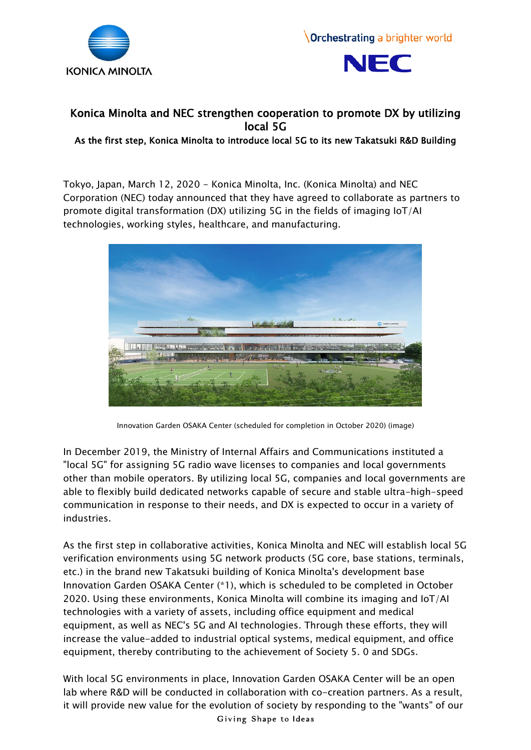





## Konica Minolta and NEC strengthen cooperation to promote DX by utilizing local 5G

As the first step, Konica Minolta to introduce local 5G to its new Takatsuki R&D Building

Tokyo, Japan, March 12, 2020 - Konica Minolta, Inc. (Konica Minolta) and NEC Corporation (NEC) today announced that they have agreed to collaborate as partners to promote digital transformation (DX) utilizing 5G in the fields of imaging IoT/AI technologies, working styles, healthcare, and manufacturing.



Innovation Garden OSAKA Center (scheduled for completion in October 2020) (image)

In December 2019, the Ministry of Internal Affairs and Communications instituted a "local 5G" for assigning 5G radio wave licenses to companies and local governments other than mobile operators. By utilizing local 5G, companies and local governments are able to flexibly build dedicated networks capable of secure and stable ultra-high-speed communication in response to their needs, and DX is expected to occur in a variety of industries.

As the first step in collaborative activities, Konica Minolta and NEC will establish local 5G verification environments using 5G network products (5G core, base stations, terminals, etc.) in the brand new Takatsuki building of Konica Minolta's development base Innovation Garden OSAKA Center (\*1), which is scheduled to be completed in October 2020. Using these environments, Konica Minolta will combine its imaging and IoT/AI technologies with a variety of assets, including office equipment and medical equipment, as well as NEC's 5G and AI technologies. Through these efforts, they will increase the value-added to industrial optical systems, medical equipment, and office equipment, thereby contributing to the achievement of Society 5. 0 and SDGs.

With local 5G environments in place, Innovation Garden OSAKA Center will be an open lab where R&D will be conducted in collaboration with co-creation partners. As a result, it will provide new value for the evolution of society by responding to the "wants" of our Giving Shape to Ideas